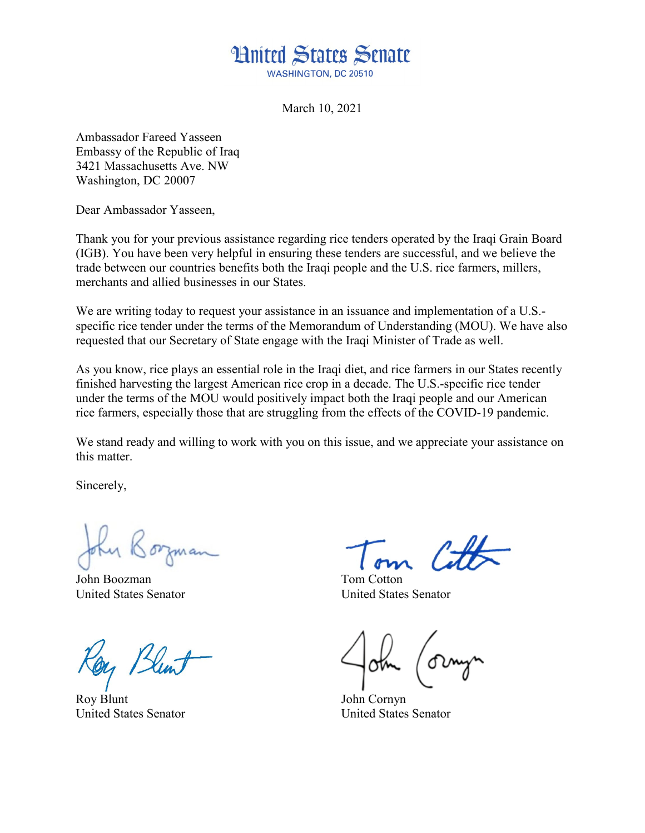## **Hnited States Senate WASHINGTON, DC 20510**

March 10, 2021

Ambassador Fareed Yasseen Embassy of the Republic of Iraq 3421 Massachusetts Ave. NW Washington, DC 20007

Dear Ambassador Yasseen,

Thank you for your previous assistance regarding rice tenders operated by the Iraqi Grain Board (IGB). You have been very helpful in ensuring these tenders are successful, and we believe the trade between our countries benefits both the Iraqi people and the U.S. rice farmers, millers, merchants and allied businesses in our States.

We are writing today to request your assistance in an issuance and implementation of a U.S.specific rice tender under the terms of the Memorandum of Understanding (MOU). We have also requested that our Secretary of State engage with the Iraqi Minister of Trade as well.

As you know, rice plays an essential role in the Iraqi diet, and rice farmers in our States recently finished harvesting the largest American rice crop in a decade. The U.S.-specific rice tender under the terms of the MOU would positively impact both the Iraqi people and our American rice farmers, especially those that are struggling from the effects of the COVID-19 pandemic.

We stand ready and willing to work with you on this issue, and we appreciate your assistance on this matter.

Sincerely,

John Boozman Tom Cotton

Roy Blunt John Cornyn

United States Senator United States Senator

United States Senator United States Senator